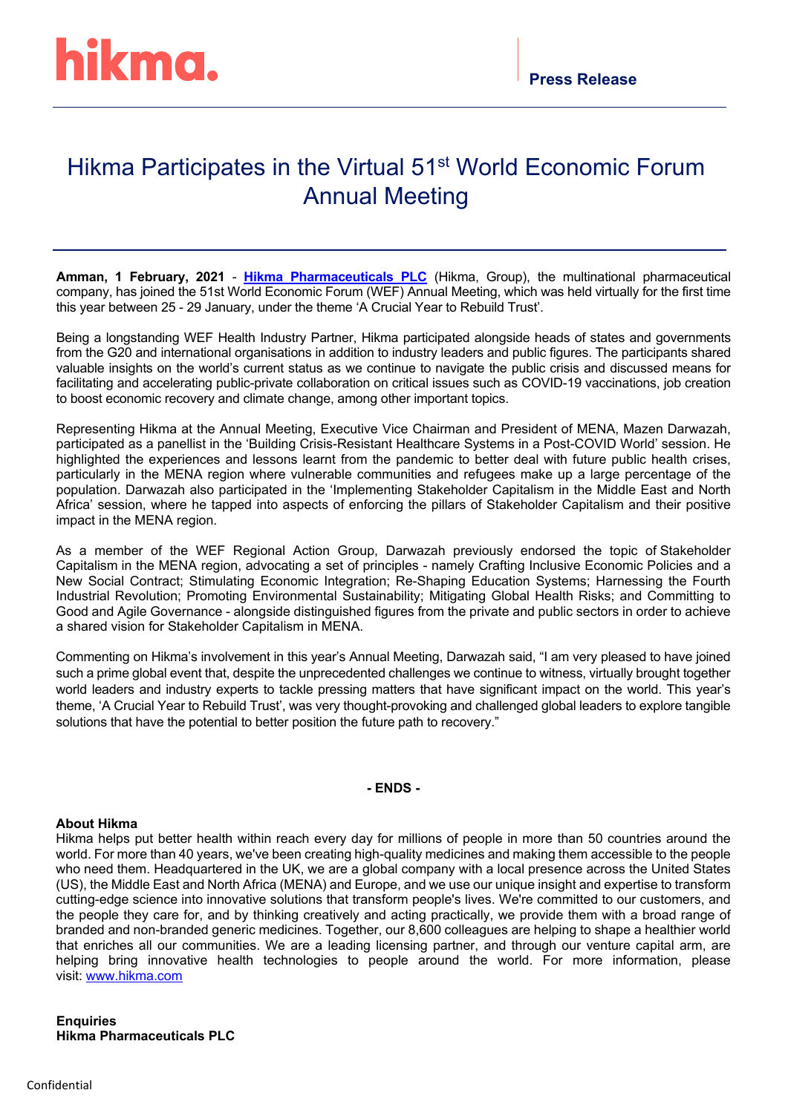## Hikma Participates in the Virtual 51<sup>st</sup> World Economic Forum Annual Meeting

**Amman, 1 February, 2021** - **[Hikma Pharmaceuticals PLC](about:blank)** (Hikma, Group), the multinational pharmaceutical company, has joined the 51st World Economic Forum (WEF) Annual Meeting, which was held virtually for the first time this year between 25 - 29 January, under the theme 'A Crucial Year to Rebuild Trust'.

Being a longstanding WEF Health Industry Partner, Hikma participated alongside heads of states and governments from the G20 and international organisations in addition to industry leaders and public figures. The participants shared valuable insights on the world's current status as we continue to navigate the public crisis and discussed means for facilitating and accelerating public-private collaboration on critical issues such as COVID-19 vaccinations, job creation to boost economic recovery and climate change, among other important topics.

Representing Hikma at the Annual Meeting, Executive Vice Chairman and President of MENA, Mazen Darwazah, participated as a panellist in the 'Building Crisis-Resistant Healthcare Systems in a Post-COVID World' session. He highlighted the experiences and lessons learnt from the pandemic to better deal with future public health crises, particularly in the MENA region where vulnerable communities and refugees make up a large percentage of the population. Darwazah also participated in the 'Implementing Stakeholder Capitalism in the Middle East and North Africa' session, where he tapped into aspects of enforcing the pillars of Stakeholder Capitalism and their positive impact in the MENA region.

As a member of the WEF Regional Action Group, Darwazah previously endorsed the topic of Stakeholder Capitalism in the MENA region, advocating a set of principles - namely Crafting Inclusive Economic Policies and a New Social Contract; Stimulating Economic Integration; Re-Shaping Education Systems; Harnessing the Fourth Industrial Revolution; Promoting Environmental Sustainability; Mitigating Global Health Risks; and Committing to Good and Agile Governance - alongside distinguished figures from the private and public sectors in order to achieve a shared vision for Stakeholder Capitalism in MENA.

Commenting on Hikma's involvement in this year's Annual Meeting, Darwazah said, "I am very pleased to have joined such a prime global event that, despite the unprecedented challenges we continue to witness, virtually brought together world leaders and industry experts to tackle pressing matters that have significant impact on the world. This year's theme, 'A Crucial Year to Rebuild Trust', was very thought-provoking and challenged global leaders to explore tangible solutions that have the potential to better position the future path to recovery."

## **- ENDS -**

## **About Hikma**

Hikma helps put better health within reach every day for millions of people in more than 50 countries around the world. For more than 40 years, we've been creating high-quality medicines and making them accessible to the people who need them. Headquartered in the UK, we are a global company with a local presence across the United States (US), the Middle East and North Africa (MENA) and Europe, and we use our unique insight and expertise to transform cutting-edge science into innovative solutions that transform people's lives. We're committed to our customers, and the people they care for, and by thinking creatively and acting practically, we provide them with a broad range of branded and non-branded generic medicines. Together, our 8,600 colleagues are helping to shape a healthier world that enriches all our communities. We are a leading licensing partner, and through our venture capital arm, are helping bring innovative health technologies to people around the world. For more information, please visit: [www.hikma.com](about:blank)

**Enquiries Hikma Pharmaceuticals PLC**